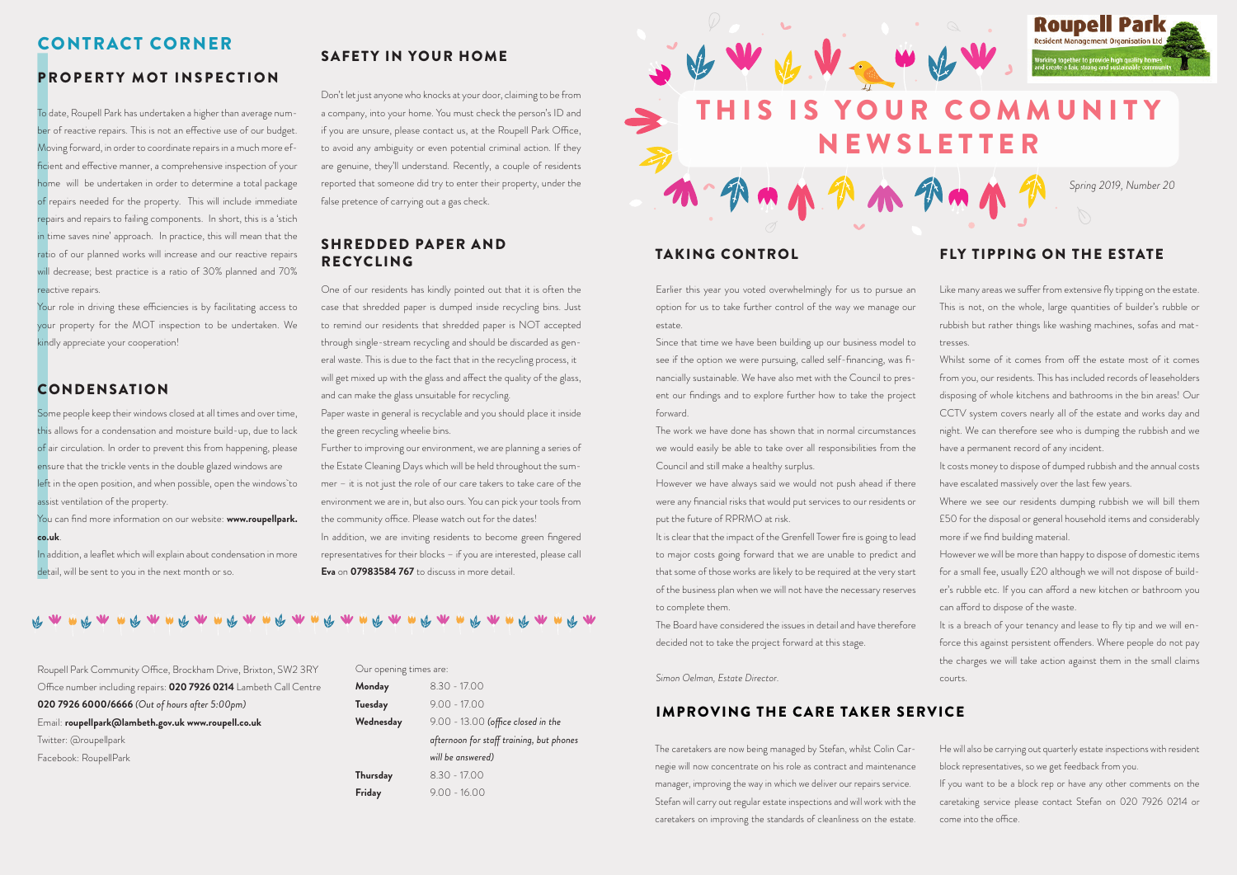Don't let just anyone who knocks at your door, claiming to be from a company, into your home. You must check the person's ID and if you are unsure, please contact us, at the Roupell Park Office, to avoid any ambiguity or even potential criminal action. If they are genuine, they'll understand. Recently, a couple of residents reported that someone did try to enter their property, under the false pretence of carrying out a gas check.

One of our residents has kindly pointed out that it is often the case that shredded paper is dumped inside recycling bins. Just to remind our residents that shredded paper is NOT accepted through single-stream recycling and should be discarded as general waste. This is due to the fact that in the recycling process, it will get mixed up with the glass and affect the quality of the glass, and can make the glass unsuitable for recycling.

Paper waste in general is recyclable and you should place it inside the green recycling wheelie bins.

Further to improving our environment, we are planning a series of the Estate Cleaning Days which will be held throughout the summer – it is not just the role of our care takers to take care of the environment we are in, but also ours. You can pick your tools from the community office. Please watch out for the dates! In addition, we are inviting residents to become green fingered representatives for their blocks – if you are interested, please call

**Eva** on **07983584 767** to discuss in more detail.



Earlier this year you voted overwhelmingly for us to pursue an option for us to take further control of the way we manage our estate.

Since that time we have been building up our business model to see if the option we were pursuing, called self-financing, was financially sustainable. We have also met with the Council to present our findings and to explore further how to take the project forward.

The work we have done has shown that in normal circumstances we would easily be able to take over all responsibilities from the Council and still make a healthy surplus.

However we have always said we would not push ahead if there were any financial risks that would put services to our residents or put the future of RPRMO at risk.

It is clear that the impact of the Grenfell Tower fire is going to lead to major costs going forward that we are unable to predict and that some of those works are likely to be required at the very start of the business plan when we will not have the necessary reserves to complete them.

Your role in driving these efficiencies is by facilitating access to your property for the MOT inspection to be undertaken. We kindly appreciate your cooperation!

Some people keep their windows closed at all times and over time, this allows for a condensation and moisture build-up, due to lack of air circulation. In order to prevent this from happening, please ensure that the trickle vents in the double glazed windows are left in the open position, and when possible, open the windows to

> The Board have considered the issues in detail and have therefore decided not to take the project forward at this stage.

*Simon Oelman, Estate Director.* 

Like many areas we suffer from extensive fly tipping on the estate. This is not, on the whole, large quantities of builder's rubble or rubbish but rather things like washing machines, sofas and mattresses.

The caretakers are now being managed by Stefan, whilst Colin Carnegie will now concentrate on his role as contract and maintenance manager, improving the way in which we deliver our repairs service. Stefan will carry out regular estate inspections and will work with the caretakers on improving the standards of cleanliness on the estate.



# S YOUR COMMUNITY

- Whilst some of it comes from off the estate most of it comes from you, our residents. This has included records of leaseholders disposing of whole kitchens and bathrooms in the bin areas! Our CCTV system covers nearly all of the estate and works day and night. We can therefore see who is dumping the rubbish and we have a permanent record of any incident.
- It costs money to dispose of dumped rubbish and the annual costs have escalated massively over the last few years.
- Where we see our residents dumping rubbish we will bill them £50 for the disposal or general household items and considerably more if we find building material.
- However we will be more than happy to dispose of domestic items for a small fee, usually £20 although we will not dispose of builder's rubble etc. If you can afford a new kitchen or bathroom you can afford to dispose of the waste.
- It is a breach of your tenancy and lease to fly tip and we will enforce this against persistent offenders. Where people do not pay the charges we will take action against them in the small claims courts.
- He will also be carrying out quarterly estate inspections with resident block representatives, so we get feedback from you.
- If you want to be a block rep or have any other comments on the caretaking service please contact Stefan on 020 7926 0214 or come into the office.

To date, Roupell Park has undertaken a higher than average number of reactive repairs. This is not an effective use of our budget. Moving forward, in order to coordinate repairs in a much more efficient and effective manner, a comprehensive inspection of your home will be undertaken in order to determine a total package of repairs needed for the property. This will include immediate repairs and repairs to failing components. In short, this is a 'stich in time saves nine' approach. In practice, this will mean that the ratio of our planned works will increase and our reactive repairs will decrease; best practice is a ratio of 30% planned and 70% reactive repairs.

assist ventilation of the property. You can find more information on our website: **www.roupellpark.**

**co.uk**.

In addition, a leaflet which will explain about condensation in more detail, will be sent to you in the next month or so.

#### SAFETY IN YOUR HOME

## IMPROVING THE CARE TAKER SERVICE

# TAKING CONTROL FLY TIPPING ON THE ESTATE

#### SHREDDED PAPER AND RECYCLING

#### CONDENSATION

# PROPERTY MOT INSPECTION

*Spring 2019, Number 20*

Roupell Park Community Office, Brockham Drive, Brixton, SW2 3RY Office number including repairs: **020 7926 0214** Lambeth Call Centre **020 7926 6000/6666** *(Out of hours after 5:00pm)*  Email: **roupellpark@lambeth.gov.uk www.roupell.co.uk**  Twitter: @roupellpark

Facebook: RoupellPark

# CONTRACT CORNER

| Our opening times are: |                                          |
|------------------------|------------------------------------------|
| Monday                 | $8.30 - 17.00$                           |
| Tuesday                | $9.00 - 17.00$                           |
| Wednesday              | 9.00 - 13.00 (office closed in the       |
|                        |                                          |
|                        | afternoon for staff training, but phones |
|                        | will be answered)                        |
| <b>Thursday</b>        | $8.30 - 17.00$                           |